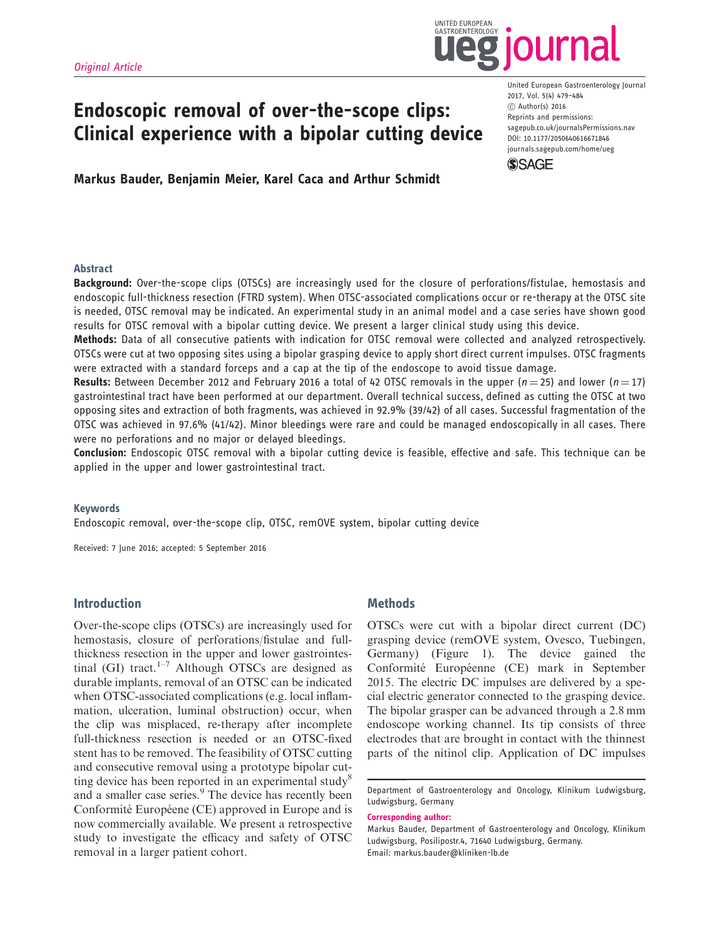

2017, Vol. 5(4) 479–484 ! Author(s) 2016 Reprints and permissions:

**SSAGE** 

United European Gastroenterology Journal

sagepub.co.uk/journalsPermissions.nav DOI: 10.1177/2050640616671846 journals.sagepub.com/home/ueg

# Endoscopic removal of over-the-scope clips: Clinical experience with a bipolar cutting device

# Markus Bauder, Benjamin Meier, Karel Caca and Arthur Schmidt

### Abstract

Background: Over-the-scope clips (OTSCs) are increasingly used for the closure of perforations/fistulae, hemostasis and endoscopic full-thickness resection (FTRD system). When OTSC-associated complications occur or re-therapy at the OTSC site is needed, OTSC removal may be indicated. An experimental study in an animal model and a case series have shown good results for OTSC removal with a bipolar cutting device. We present a larger clinical study using this device.

Methods: Data of all consecutive patients with indication for OTSC removal were collected and analyzed retrospectively. OTSCs were cut at two opposing sites using a bipolar grasping device to apply short direct current impulses. OTSC fragments were extracted with a standard forceps and a cap at the tip of the endoscope to avoid tissue damage.

**Results:** Between December 2012 and February 2016 a total of 42 OTSC removals in the upper ( $n = 25$ ) and lower ( $n = 17$ ) gastrointestinal tract have been performed at our department. Overall technical success, defined as cutting the OTSC at two opposing sites and extraction of both fragments, was achieved in 92.9% (39/42) of all cases. Successful fragmentation of the OTSC was achieved in 97.6% (41/42). Minor bleedings were rare and could be managed endoscopically in all cases. There were no perforations and no major or delayed bleedings.

Conclusion: Endoscopic OTSC removal with a bipolar cutting device is feasible, effective and safe. This technique can be applied in the upper and lower gastrointestinal tract.

#### Keywords

Endoscopic removal, over-the-scope clip, OTSC, remOVE system, bipolar cutting device

Received: 7 June 2016; accepted: 5 September 2016

## Introduction

Over-the-scope clips (OTSCs) are increasingly used for hemostasis, closure of perforations/fistulae and fullthickness resection in the upper and lower gastrointestinal (GI) tract.<sup>1–7</sup> Although OTSCs are designed as durable implants, removal of an OTSC can be indicated when OTSC-associated complications (e.g. local inflammation, ulceration, luminal obstruction) occur, when the clip was misplaced, re-therapy after incomplete full-thickness resection is needed or an OTSC-fixed stent has to be removed. The feasibility of OTSC cutting and consecutive removal using a prototype bipolar cutting device has been reported in an experimental study<sup>8</sup> and a smaller case series.<sup>9</sup> The device has recently been Conformité Européene (CE) approved in Europe and is now commercially available. We present a retrospective study to investigate the efficacy and safety of OTSC removal in a larger patient cohort.

## **Methods**

OTSCs were cut with a bipolar direct current (DC) grasping device (remOVE system, Ovesco, Tuebingen, Germany) (Figure 1). The device gained the Conformité Européenne (CE) mark in September 2015. The electric DC impulses are delivered by a special electric generator connected to the grasping device. The bipolar grasper can be advanced through a 2.8 mm endoscope working channel. Its tip consists of three electrodes that are brought in contact with the thinnest parts of the nitinol clip. Application of DC impulses

Corresponding author:

Department of Gastroenterology and Oncology, Klinikum Ludwigsburg, Ludwigsburg, Germany

Markus Bauder, Department of Gastroenterology and Oncology, Klinikum Ludwigsburg, Posilipostr.4, 71640 Ludwigsburg, Germany. Email: markus.bauder@kliniken-lb.de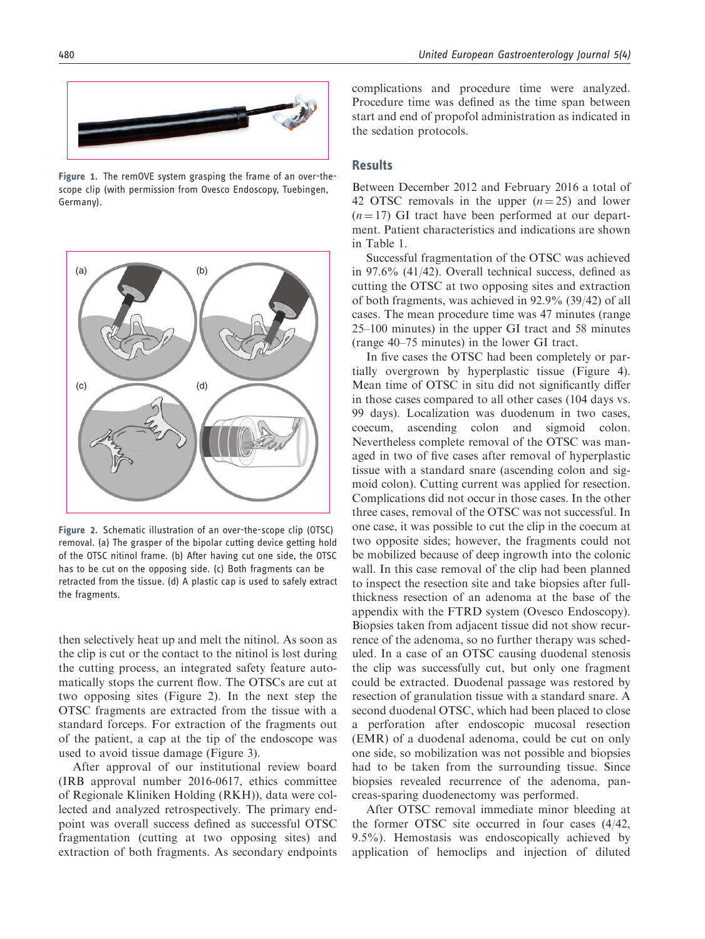

Figure 1. The remOVE system grasping the frame of an over-thescope clip (with permission from Ovesco Endoscopy, Tuebingen, Germany).



Figure 2. Schematic illustration of an over-the-scope clip (OTSC) removal. (a) The grasper of the bipolar cutting device getting hold of the OTSC nitinol frame. (b) After having cut one side, the OTSC has to be cut on the opposing side. (c) Both fragments can be retracted from the tissue. (d) A plastic cap is used to safely extract the fragments.

then selectively heat up and melt the nitinol. As soon as the clip is cut or the contact to the nitinol is lost during the cutting process, an integrated safety feature automatically stops the current flow. The OTSCs are cut at two opposing sites (Figure 2). In the next step the OTSC fragments are extracted from the tissue with a standard forceps. For extraction of the fragments out of the patient, a cap at the tip of the endoscope was used to avoid tissue damage (Figure 3).

After approval of our institutional review board (IRB approval number 2016-0617, ethics committee of Regionale Kliniken Holding (RKH)), data were collected and analyzed retrospectively. The primary endpoint was overall success defined as successful OTSC fragmentation (cutting at two opposing sites) and extraction of both fragments. As secondary endpoints complications and procedure time were analyzed. Procedure time was defined as the time span between start and end of propofol administration as indicated in the sedation protocols.

### **Results**

Between December 2012 and February 2016 a total of 42 OTSC removals in the upper  $(n=25)$  and lower  $(n = 17)$  GI tract have been performed at our department. Patient characteristics and indications are shown in Table 1.

Successful fragmentation of the OTSC was achieved in 97.6% (41/42). Overall technical success, defined as cutting the OTSC at two opposing sites and extraction of both fragments, was achieved in 92.9% (39/42) of all cases. The mean procedure time was 47 minutes (range 25–100 minutes) in the upper GI tract and 58 minutes (range 40–75 minutes) in the lower GI tract.

In five cases the OTSC had been completely or partially overgrown by hyperplastic tissue (Figure 4). Mean time of OTSC in situ did not significantly differ in those cases compared to all other cases (104 days vs. 99 days). Localization was duodenum in two cases, coecum, ascending colon and sigmoid colon. Nevertheless complete removal of the OTSC was managed in two of five cases after removal of hyperplastic tissue with a standard snare (ascending colon and sigmoid colon). Cutting current was applied for resection. Complications did not occur in those cases. In the other three cases, removal of the OTSC was not successful. In one case, it was possible to cut the clip in the coecum at two opposite sides; however, the fragments could not be mobilized because of deep ingrowth into the colonic wall. In this case removal of the clip had been planned to inspect the resection site and take biopsies after fullthickness resection of an adenoma at the base of the appendix with the FTRD system (Ovesco Endoscopy). Biopsies taken from adjacent tissue did not show recurrence of the adenoma, so no further therapy was scheduled. In a case of an OTSC causing duodenal stenosis the clip was successfully cut, but only one fragment could be extracted. Duodenal passage was restored by resection of granulation tissue with a standard snare. A second duodenal OTSC, which had been placed to close a perforation after endoscopic mucosal resection (EMR) of a duodenal adenoma, could be cut on only one side, so mobilization was not possible and biopsies had to be taken from the surrounding tissue. Since biopsies revealed recurrence of the adenoma, pancreas-sparing duodenectomy was performed.

After OTSC removal immediate minor bleeding at the former OTSC site occurred in four cases (4/42, 9.5%). Hemostasis was endoscopically achieved by application of hemoclips and injection of diluted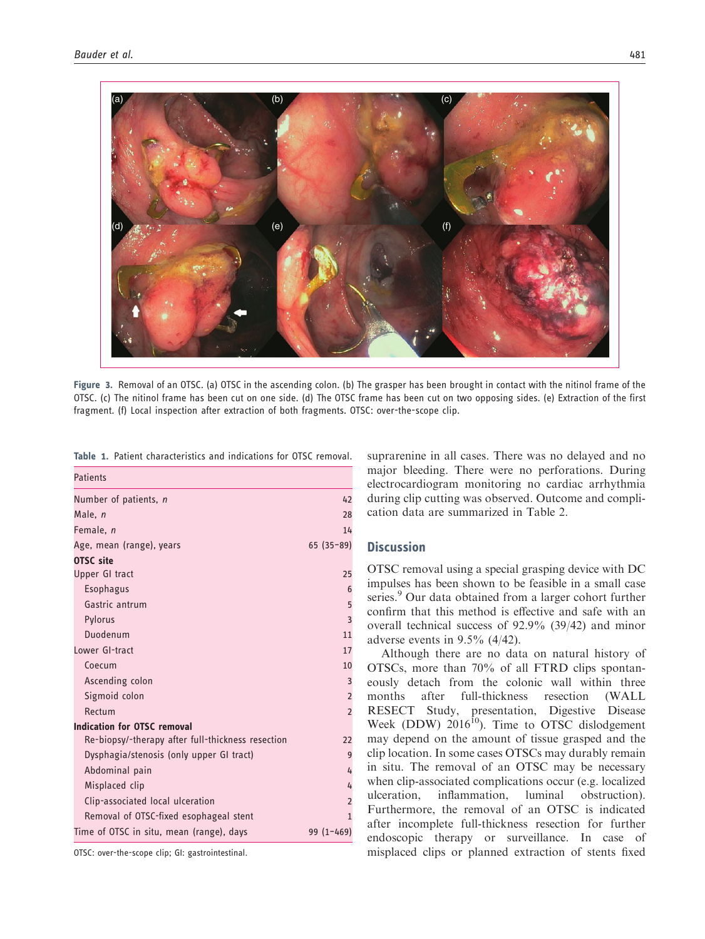

Figure 3. Removal of an OTSC. (a) OTSC in the ascending colon. (b) The grasper has been brought in contact with the nitinol frame of the OTSC. (c) The nitinol frame has been cut on one side. (d) The OTSC frame has been cut on two opposing sides. (e) Extraction of the first fragment. (f) Local inspection after extraction of both fragments. OTSC: over-the-scope clip.

| <b>Patients</b>                                   |                |
|---------------------------------------------------|----------------|
| Number of patients, n                             | 42             |
| Male, n                                           | 28             |
| Female, n                                         | 14             |
| Age, mean (range), years                          | $65(35-89)$    |
| <b>OTSC</b> site                                  |                |
| Upper GI tract                                    | 25             |
| Esophagus                                         | 6              |
| Gastric antrum                                    | 5              |
| Pylorus                                           | $\overline{3}$ |
| Duodenum                                          | 11             |
| Lower GI-tract                                    | 17             |
| Coecum                                            | 10             |
| Ascending colon                                   | 3              |
| Sigmoid colon                                     | $\overline{2}$ |
| Rectum                                            | $\overline{2}$ |
| <b>Indication for OTSC removal</b>                |                |
| Re-biopsy/-therapy after full-thickness resection | 22             |
| Dysphagia/stenosis (only upper GI tract)          | 9              |
| Abdominal pain                                    | $\frac{1}{2}$  |
| Misplaced clip                                    | $\frac{1}{2}$  |
| Clip-associated local ulceration                  | $\overline{2}$ |
| Removal of OTSC-fixed esophageal stent            | $\overline{1}$ |
| Time of OTSC in situ, mean (range), days          | $99(1-469)$    |
|                                                   |                |

Table 1. Patient characteristics and indications for OTSC removal.

OTSC: over-the-scope clip; GI: gastrointestinal.

suprarenine in all cases. There was no delayed and no major bleeding. There were no perforations. During electrocardiogram monitoring no cardiac arrhythmia during clip cutting was observed. Outcome and complication data are summarized in Table 2.

# **Discussion**

OTSC removal using a special grasping device with DC impulses has been shown to be feasible in a small case series.<sup>9</sup> Our data obtained from a larger cohort further confirm that this method is effective and safe with an overall technical success of 92.9% (39/42) and minor adverse events in 9.5% (4/42).

Although there are no data on natural history of OTSCs, more than 70% of all FTRD clips spontaneously detach from the colonic wall within three months after full-thickness resection (WALL RESECT Study, presentation, Digestive Disease Week (DDW)  $2016^{10}$ ). Time to OTSC dislodgement may depend on the amount of tissue grasped and the clip location. In some cases OTSCs may durably remain in situ. The removal of an OTSC may be necessary when clip-associated complications occur (e.g. localized ulceration, inflammation, luminal obstruction). Furthermore, the removal of an OTSC is indicated after incomplete full-thickness resection for further endoscopic therapy or surveillance. In case of misplaced clips or planned extraction of stents fixed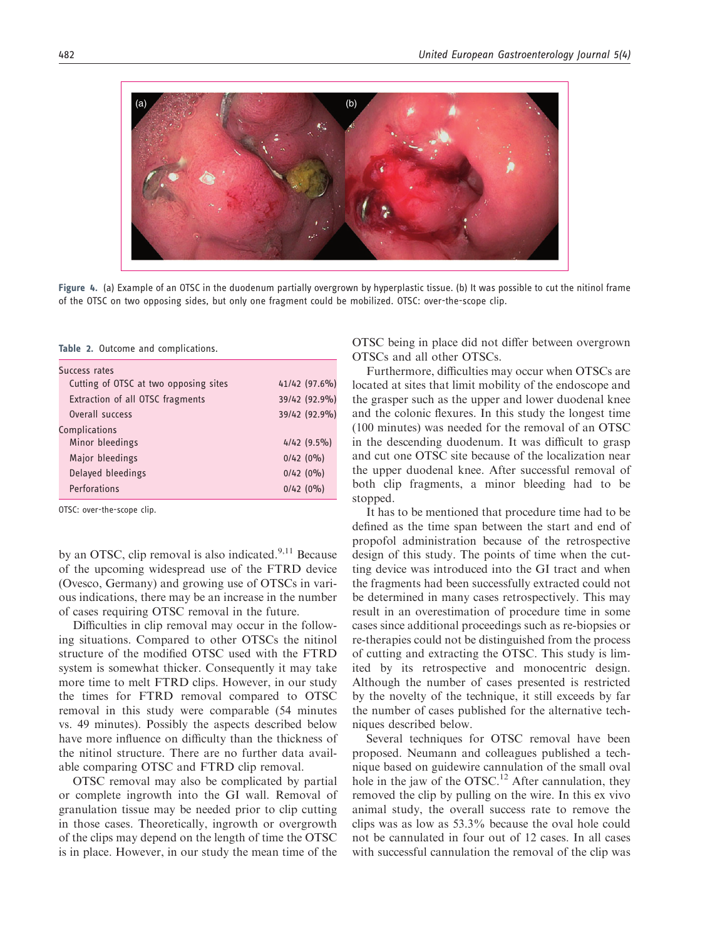

Figure 4. (a) Example of an OTSC in the duodenum partially overgrown by hyperplastic tissue. (b) It was possible to cut the nitinol frame of the OTSC on two opposing sides, but only one fragment could be mobilized. OTSC: over-the-scope clip.

Table 2. Outcome and complications.

| Success rates |                                       |               |  |  |
|---------------|---------------------------------------|---------------|--|--|
|               | Cutting of OTSC at two opposing sites | 41/42 (97.6%) |  |  |
|               | Extraction of all OTSC fragments      | 39/42 (92.9%) |  |  |
|               | Overall success                       | 39/42 (92.9%) |  |  |
|               | Complications                         |               |  |  |
|               | Minor bleedings                       | $4/42$ (9.5%) |  |  |
|               | Major bleedings                       | $0/42(0\%)$   |  |  |
|               | Delayed bleedings                     | 0/42(0%)      |  |  |
|               | Perforations                          | 0/42(0%)      |  |  |
|               |                                       |               |  |  |

OTSC: over-the-scope clip.

by an OTSC, clip removal is also indicated.<sup>9,11</sup> Because of the upcoming widespread use of the FTRD device (Ovesco, Germany) and growing use of OTSCs in various indications, there may be an increase in the number of cases requiring OTSC removal in the future.

Difficulties in clip removal may occur in the following situations. Compared to other OTSCs the nitinol structure of the modified OTSC used with the FTRD system is somewhat thicker. Consequently it may take more time to melt FTRD clips. However, in our study the times for FTRD removal compared to OTSC removal in this study were comparable (54 minutes vs. 49 minutes). Possibly the aspects described below have more influence on difficulty than the thickness of the nitinol structure. There are no further data available comparing OTSC and FTRD clip removal.

OTSC removal may also be complicated by partial or complete ingrowth into the GI wall. Removal of granulation tissue may be needed prior to clip cutting in those cases. Theoretically, ingrowth or overgrowth of the clips may depend on the length of time the OTSC is in place. However, in our study the mean time of the OTSC being in place did not differ between overgrown OTSCs and all other OTSCs.

Furthermore, difficulties may occur when OTSCs are located at sites that limit mobility of the endoscope and the grasper such as the upper and lower duodenal knee and the colonic flexures. In this study the longest time (100 minutes) was needed for the removal of an OTSC in the descending duodenum. It was difficult to grasp and cut one OTSC site because of the localization near the upper duodenal knee. After successful removal of both clip fragments, a minor bleeding had to be stopped.

It has to be mentioned that procedure time had to be defined as the time span between the start and end of propofol administration because of the retrospective design of this study. The points of time when the cutting device was introduced into the GI tract and when the fragments had been successfully extracted could not be determined in many cases retrospectively. This may result in an overestimation of procedure time in some cases since additional proceedings such as re-biopsies or re-therapies could not be distinguished from the process of cutting and extracting the OTSC. This study is limited by its retrospective and monocentric design. Although the number of cases presented is restricted by the novelty of the technique, it still exceeds by far the number of cases published for the alternative techniques described below.

Several techniques for OTSC removal have been proposed. Neumann and colleagues published a technique based on guidewire cannulation of the small oval hole in the jaw of the OTSC.<sup>12</sup> After cannulation, they removed the clip by pulling on the wire. In this ex vivo animal study, the overall success rate to remove the clips was as low as 53.3% because the oval hole could not be cannulated in four out of 12 cases. In all cases with successful cannulation the removal of the clip was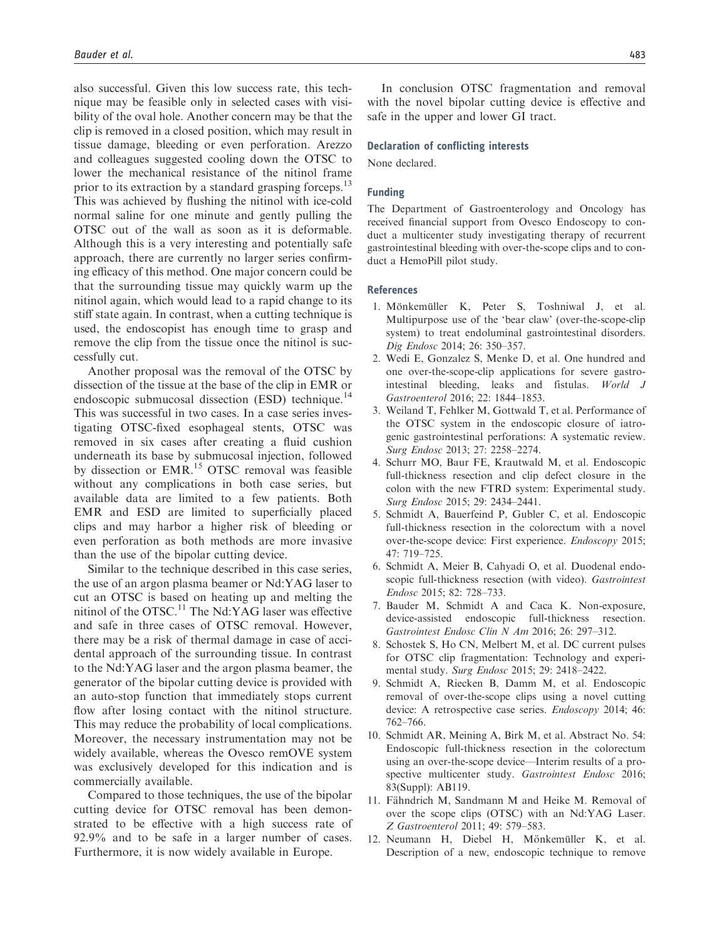also successful. Given this low success rate, this technique may be feasible only in selected cases with visibility of the oval hole. Another concern may be that the clip is removed in a closed position, which may result in tissue damage, bleeding or even perforation. Arezzo and colleagues suggested cooling down the OTSC to lower the mechanical resistance of the nitinol frame prior to its extraction by a standard grasping forceps.<sup>13</sup> This was achieved by flushing the nitinol with ice-cold normal saline for one minute and gently pulling the OTSC out of the wall as soon as it is deformable. Although this is a very interesting and potentially safe approach, there are currently no larger series confirming efficacy of this method. One major concern could be that the surrounding tissue may quickly warm up the nitinol again, which would lead to a rapid change to its stiff state again. In contrast, when a cutting technique is used, the endoscopist has enough time to grasp and remove the clip from the tissue once the nitinol is successfully cut.

Another proposal was the removal of the OTSC by dissection of the tissue at the base of the clip in EMR or endoscopic submucosal dissection (ESD) technique.<sup>14</sup> This was successful in two cases. In a case series investigating OTSC-fixed esophageal stents, OTSC was removed in six cases after creating a fluid cushion underneath its base by submucosal injection, followed by dissection or EMR.<sup>15</sup> OTSC removal was feasible without any complications in both case series, but available data are limited to a few patients. Both EMR and ESD are limited to superficially placed clips and may harbor a higher risk of bleeding or even perforation as both methods are more invasive than the use of the bipolar cutting device.

Similar to the technique described in this case series, the use of an argon plasma beamer or Nd:YAG laser to cut an OTSC is based on heating up and melting the nitinol of the OTSC.<sup>11</sup> The Nd:YAG laser was effective and safe in three cases of OTSC removal. However, there may be a risk of thermal damage in case of accidental approach of the surrounding tissue. In contrast to the Nd:YAG laser and the argon plasma beamer, the generator of the bipolar cutting device is provided with an auto-stop function that immediately stops current flow after losing contact with the nitinol structure. This may reduce the probability of local complications. Moreover, the necessary instrumentation may not be widely available, whereas the Ovesco remOVE system was exclusively developed for this indication and is commercially available.

Compared to those techniques, the use of the bipolar cutting device for OTSC removal has been demonstrated to be effective with a high success rate of 92.9% and to be safe in a larger number of cases. Furthermore, it is now widely available in Europe.

In conclusion OTSC fragmentation and removal with the novel bipolar cutting device is effective and safe in the upper and lower GI tract.

#### Declaration of conflicting interests

None declared.

## Funding

The Department of Gastroenterology and Oncology has received financial support from Ovesco Endoscopy to conduct a multicenter study investigating therapy of recurrent gastrointestinal bleeding with over-the-scope clips and to conduct a HemoPill pilot study.

#### References

- 1. Mönkemüller K, Peter S, Toshniwal J, et al. Multipurpose use of the 'bear claw' (over-the-scope-clip system) to treat endoluminal gastrointestinal disorders. Dig Endosc 2014; 26: 350–357.
- 2. Wedi E, Gonzalez S, Menke D, et al. One hundred and one over-the-scope-clip applications for severe gastrointestinal bleeding, leaks and fistulas. World J Gastroenterol 2016; 22: 1844–1853.
- 3. Weiland T, Fehlker M, Gottwald T, et al. Performance of the OTSC system in the endoscopic closure of iatrogenic gastrointestinal perforations: A systematic review. Surg Endosc 2013; 27: 2258–2274.
- 4. Schurr MO, Baur FE, Krautwald M, et al. Endoscopic full-thickness resection and clip defect closure in the colon with the new FTRD system: Experimental study. Surg Endosc 2015; 29: 2434–2441.
- 5. Schmidt A, Bauerfeind P, Gubler C, et al. Endoscopic full-thickness resection in the colorectum with a novel over-the-scope device: First experience. Endoscopy 2015; 47: 719–725.
- 6. Schmidt A, Meier B, Cahyadi O, et al. Duodenal endoscopic full-thickness resection (with video). Gastrointest Endosc 2015; 82: 728–733.
- 7. Bauder M, Schmidt A and Caca K. Non-exposure, device-assisted endoscopic full-thickness resection. Gastrointest Endosc Clin N Am 2016; 26: 297–312.
- 8. Schostek S, Ho CN, Melbert M, et al. DC current pulses for OTSC clip fragmentation: Technology and experimental study. Surg Endosc 2015; 29: 2418–2422.
- 9. Schmidt A, Riecken B, Damm M, et al. Endoscopic removal of over-the-scope clips using a novel cutting device: A retrospective case series. Endoscopy 2014; 46: 762–766.
- 10. Schmidt AR, Meining A, Birk M, et al. Abstract No. 54: Endoscopic full-thickness resection in the colorectum using an over-the-scope device—Interim results of a prospective multicenter study. Gastrointest Endosc 2016; 83(Suppl): AB119.
- 11. Fähndrich M, Sandmann M and Heike M. Removal of over the scope clips (OTSC) with an Nd:YAG Laser. Z Gastroenterol 2011; 49: 579–583.
- 12. Neumann H, Diebel H, Mönkemüller K, et al. Description of a new, endoscopic technique to remove